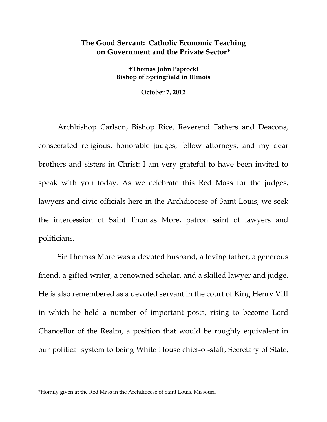## **The Good Servant: Catholic Economic Teaching on Government and the Private Sector\***

**Thomas John Paprocki Bishop of Springfield in Illinois** 

**October 7, 2012**

Archbishop Carlson, Bishop Rice, Reverend Fathers and Deacons, consecrated religious, honorable judges, fellow attorneys, and my dear brothers and sisters in Christ: I am very grateful to have been invited to speak with you today. As we celebrate this Red Mass for the judges, lawyers and civic officials here in the Archdiocese of Saint Louis, we seek the intercession of Saint Thomas More, patron saint of lawyers and politicians.

Sir Thomas More was a devoted husband, a loving father, a generous friend, a gifted writer, a renowned scholar, and a skilled lawyer and judge. He is also remembered as a devoted servant in the court of King Henry VIII in which he held a number of important posts, rising to become Lord Chancellor of the Realm, a position that would be roughly equivalent in our political system to being White House chief-of-staff, Secretary of State,

\*Homily given at the Red Mass in the Archdiocese of Saint Louis, Missouri.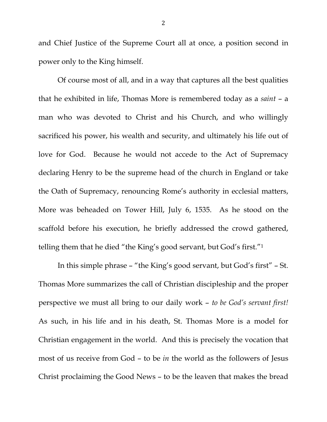and Chief Justice of the Supreme Court all at once, a position second in power only to the King himself.

Of course most of all, and in a way that captures all the best qualities that he exhibited in life, Thomas More is remembered today as a *saint* – a man who was devoted to Christ and his Church, and who willingly sacrificed his power, his wealth and security, and ultimately his life out of love for God. Because he would not accede to the Act of Supremacy declaring Henry to be the supreme head of the church in England or take the Oath of Supremacy, renouncing Rome's authority in ecclesial matters, More was beheaded on Tower Hill, July 6, 1535. As he stood on the scaffold before his execution, he briefly addressed the crowd gathered, telling them that he died "the King's good servant, but God's first."1

 In this simple phrase – "the King's good servant, but God's first" – St. Thomas More summarizes the call of Christian discipleship and the proper perspective we must all bring to our daily work – *to be God's servant first!* As such, in his life and in his death, St. Thomas More is a model for Christian engagement in the world. And this is precisely the vocation that most of us receive from God – to be *in* the world as the followers of Jesus Christ proclaiming the Good News – to be the leaven that makes the bread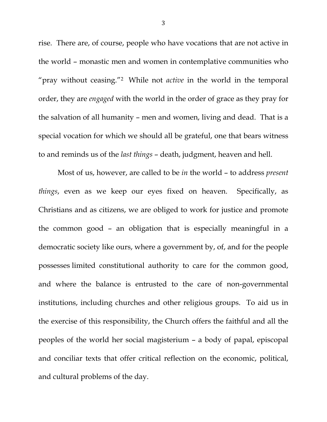rise. There are, of course, people who have vocations that are not active in the world – monastic men and women in contemplative communities who "pray without ceasing."2 While not *active* in the world in the temporal order, they are *engaged* with the world in the order of grace as they pray for the salvation of all humanity – men and women, living and dead. That is a special vocation for which we should all be grateful, one that bears witness to and reminds us of the *last things* – death, judgment, heaven and hell.

 Most of us, however, are called to be *in* the world – to address *present things*, even as we keep our eyes fixed on heaven. Specifically, as Christians and as citizens, we are obliged to work for justice and promote the common good – an obligation that is especially meaningful in a democratic society like ours, where a government by, of, and for the people possesses limited constitutional authority to care for the common good, and where the balance is entrusted to the care of non-governmental institutions, including churches and other religious groups. To aid us in the exercise of this responsibility, the Church offers the faithful and all the peoples of the world her social magisterium – a body of papal, episcopal and conciliar texts that offer critical reflection on the economic, political, and cultural problems of the day.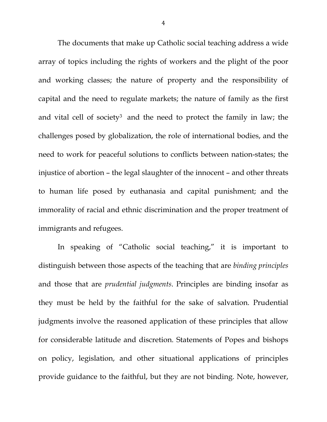The documents that make up Catholic social teaching address a wide array of topics including the rights of workers and the plight of the poor and working classes; the nature of property and the responsibility of capital and the need to regulate markets; the nature of family as the first and vital cell of society3 and the need to protect the family in law; the challenges posed by globalization, the role of international bodies, and the need to work for peaceful solutions to conflicts between nation-states; the injustice of abortion – the legal slaughter of the innocent – and other threats to human life posed by euthanasia and capital punishment; and the immorality of racial and ethnic discrimination and the proper treatment of immigrants and refugees.

 In speaking of "Catholic social teaching," it is important to distinguish between those aspects of the teaching that are *binding principles* and those that are *prudential judgments*. Principles are binding insofar as they must be held by the faithful for the sake of salvation. Prudential judgments involve the reasoned application of these principles that allow for considerable latitude and discretion. Statements of Popes and bishops on policy, legislation, and other situational applications of principles provide guidance to the faithful, but they are not binding. Note, however,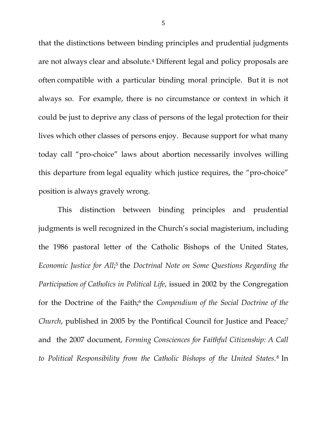that the distinctions between binding principles and prudential judgments are not always clear and absolute.4 Different legal and policy proposals are often compatible with a particular binding moral principle. But it is not always so. For example, there is no circumstance or context in which it could be just to deprive any class of persons of the legal protection for their lives which other classes of persons enjoy. Because support for what many today call "pro-choice" laws about abortion necessarily involves willing this departure from legal equality which justice requires, the "pro-choice" position is always gravely wrong.

 This distinction between binding principles and prudential judgments is well recognized in the Church's social magisterium, including the 1986 pastoral letter of the Catholic Bishops of the United States, *Economic Justice for All*;5 the *Doctrinal Note on Some Questions Regarding the Participation of Catholics in Political Life*, issued in 2002 by the Congregation for the Doctrine of the Faith;6 the *Compendium of the Social Doctrine of the Church*, published in 2005 by the Pontifical Council for Justice and Peace;<sup>7</sup> and the 2007 document, *Forming Consciences for Faithful Citizenship: A Call to Political Responsibility from the Catholic Bishops of the United States*. 8 In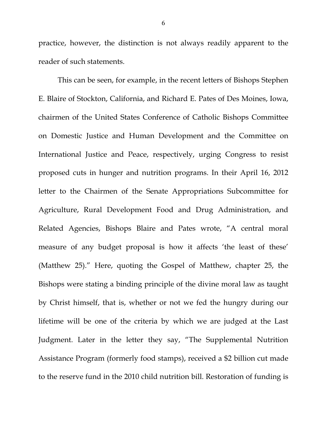practice, however, the distinction is not always readily apparent to the reader of such statements.

This can be seen, for example, in the recent letters of Bishops Stephen E. Blaire of Stockton, California, and Richard E. Pates of Des Moines, Iowa, chairmen of the United States Conference of Catholic Bishops Committee on Domestic Justice and Human Development and the Committee on International Justice and Peace, respectively, urging Congress to resist proposed cuts in hunger and nutrition programs. In their April 16, 2012 letter to the Chairmen of the Senate Appropriations Subcommittee for Agriculture, Rural Development Food and Drug Administration, and Related Agencies, Bishops Blaire and Pates wrote, "A central moral measure of any budget proposal is how it affects 'the least of these' (Matthew 25)." Here, quoting the Gospel of Matthew, chapter 25, the Bishops were stating a binding principle of the divine moral law as taught by Christ himself, that is, whether or not we fed the hungry during our lifetime will be one of the criteria by which we are judged at the Last Judgment. Later in the letter they say, "The Supplemental Nutrition Assistance Program (formerly food stamps), received a \$2 billion cut made to the reserve fund in the 2010 child nutrition bill. Restoration of funding is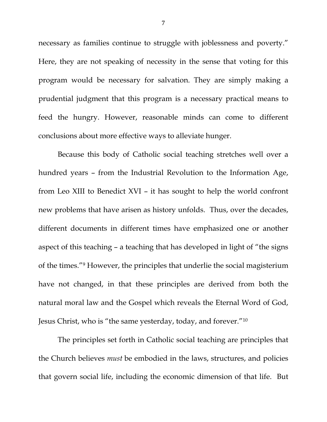necessary as families continue to struggle with joblessness and poverty." Here, they are not speaking of necessity in the sense that voting for this program would be necessary for salvation. They are simply making a prudential judgment that this program is a necessary practical means to feed the hungry. However, reasonable minds can come to different conclusions about more effective ways to alleviate hunger.

Because this body of Catholic social teaching stretches well over a hundred years – from the Industrial Revolution to the Information Age, from Leo XIII to Benedict XVI – it has sought to help the world confront new problems that have arisen as history unfolds. Thus, over the decades, different documents in different times have emphasized one or another aspect of this teaching – a teaching that has developed in light of "the signs of the times."9 However, the principles that underlie the social magisterium have not changed, in that these principles are derived from both the natural moral law and the Gospel which reveals the Eternal Word of God, Jesus Christ, who is "the same yesterday, today, and forever."10

 The principles set forth in Catholic social teaching are principles that the Church believes *must* be embodied in the laws, structures, and policies that govern social life, including the economic dimension of that life. But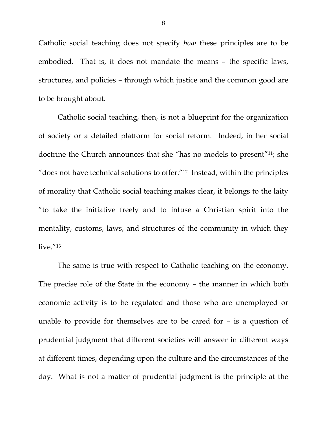Catholic social teaching does not specify *how* these principles are to be embodied. That is, it does not mandate the means – the specific laws, structures, and policies – through which justice and the common good are to be brought about.

 Catholic social teaching, then, is not a blueprint for the organization of society or a detailed platform for social reform. Indeed, in her social doctrine the Church announces that she "has no models to present"11; she "does not have technical solutions to offer."12 Instead, within the principles of morality that Catholic social teaching makes clear, it belongs to the laity "to take the initiative freely and to infuse a Christian spirit into the mentality, customs, laws, and structures of the community in which they  $live.$ "13

 The same is true with respect to Catholic teaching on the economy. The precise role of the State in the economy – the manner in which both economic activity is to be regulated and those who are unemployed or unable to provide for themselves are to be cared for – is a question of prudential judgment that different societies will answer in different ways at different times, depending upon the culture and the circumstances of the day. What is not a matter of prudential judgment is the principle at the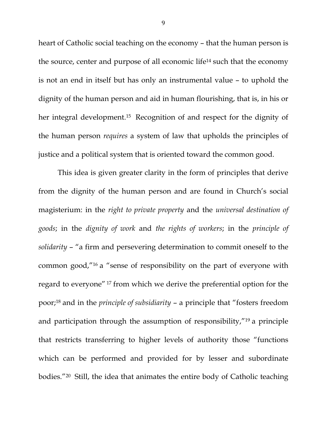heart of Catholic social teaching on the economy – that the human person is the source, center and purpose of all economic life14 such that the economy is not an end in itself but has only an instrumental value – to uphold the dignity of the human person and aid in human flourishing, that is, in his or her integral development.15 Recognition of and respect for the dignity of the human person *requires* a system of law that upholds the principles of justice and a political system that is oriented toward the common good.

 This idea is given greater clarity in the form of principles that derive from the dignity of the human person and are found in Church's social magisterium: in the *right to private property* and the *universal destination of goods*; in the *dignity of work* and *the rights of workers*; in the *principle of solidarity* – "a firm and persevering determination to commit oneself to the common good,"16 a "sense of responsibility on the part of everyone with regard to everyone" 17 from which we derive the preferential option for the poor;18 and in the *principle of subsidiarity* – a principle that "fosters freedom and participation through the assumption of responsibility,"19 a principle that restricts transferring to higher levels of authority those "functions which can be performed and provided for by lesser and subordinate bodies."20 Still, the idea that animates the entire body of Catholic teaching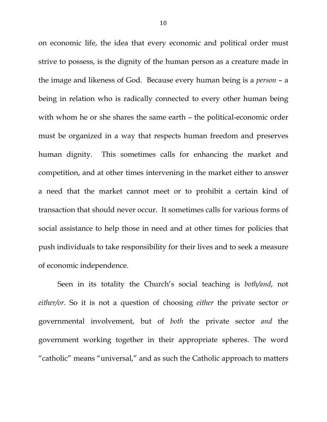on economic life, the idea that every economic and political order must strive to possess, is the dignity of the human person as a creature made in the image and likeness of God. Because every human being is a *person* – a being in relation who is radically connected to every other human being with whom he or she shares the same earth – the political-economic order must be organized in a way that respects human freedom and preserves human dignity. This sometimes calls for enhancing the market and competition, and at other times intervening in the market either to answer a need that the market cannot meet or to prohibit a certain kind of transaction that should never occur. It sometimes calls for various forms of social assistance to help those in need and at other times for policies that push individuals to take responsibility for their lives and to seek a measure of economic independence.

Seen in its totality the Church's social teaching is *both/and*, not *either/or*. So it is not a question of choosing *either* the private sector *or* governmental involvement, but of *both* the private sector *and* the government working together in their appropriate spheres. The word "catholic" means "universal," and as such the Catholic approach to matters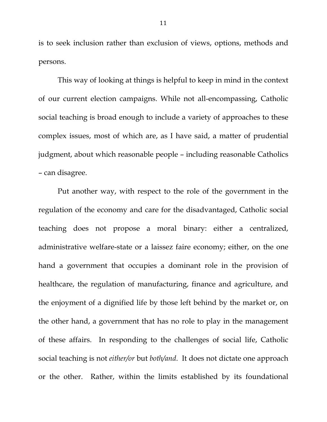is to seek inclusion rather than exclusion of views, options, methods and persons.

 This way of looking at things is helpful to keep in mind in the context of our current election campaigns. While not all-encompassing, Catholic social teaching is broad enough to include a variety of approaches to these complex issues, most of which are, as I have said, a matter of prudential judgment, about which reasonable people – including reasonable Catholics – can disagree.

 Put another way, with respect to the role of the government in the regulation of the economy and care for the disadvantaged, Catholic social teaching does not propose a moral binary: either a centralized, administrative welfare-state or a laissez faire economy; either, on the one hand a government that occupies a dominant role in the provision of healthcare, the regulation of manufacturing, finance and agriculture, and the enjoyment of a dignified life by those left behind by the market or, on the other hand, a government that has no role to play in the management of these affairs. In responding to the challenges of social life, Catholic social teaching is not *either/or* but *both/and*. It does not dictate one approach or the other. Rather, within the limits established by its foundational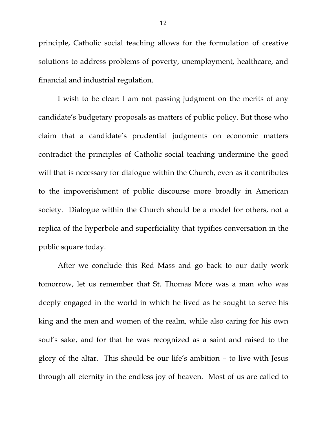principle, Catholic social teaching allows for the formulation of creative solutions to address problems of poverty, unemployment, healthcare, and financial and industrial regulation.

 I wish to be clear: I am not passing judgment on the merits of any candidate's budgetary proposals as matters of public policy. But those who claim that a candidate's prudential judgments on economic matters contradict the principles of Catholic social teaching undermine the good will that is necessary for dialogue within the Church, even as it contributes to the impoverishment of public discourse more broadly in American society. Dialogue within the Church should be a model for others, not a replica of the hyperbole and superficiality that typifies conversation in the public square today.

 After we conclude this Red Mass and go back to our daily work tomorrow, let us remember that St. Thomas More was a man who was deeply engaged in the world in which he lived as he sought to serve his king and the men and women of the realm, while also caring for his own soul's sake, and for that he was recognized as a saint and raised to the glory of the altar. This should be our life's ambition – to live with Jesus through all eternity in the endless joy of heaven. Most of us are called to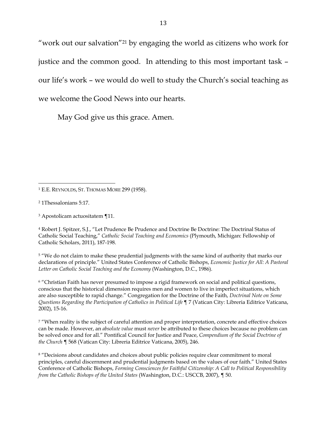"work out our salvation"21 by engaging the world as citizens who work for justice and the common good. In attending to this most important task – our life's work – we would do well to study the Church's social teaching as we welcome the Good News into our hearts.

May God give us this grace. Amen.

4 Robert J. Spitzer, S.J., "Let Prudence Be Prudence and Doctrine Be Doctrine: The Doctrinal Status of Catholic Social Teaching," *Catholic Social Teaching and Economics* (Plymouth, Michigan: Fellowship of Catholic Scholars, 2011), 187-198.

<sup>5</sup> "We do not claim to make these prudential judgments with the same kind of authority that marks our declarations of principle." United States Conference of Catholic Bishops, *Economic Justice for All: A Pastoral Letter on Catholic Social Teaching and the Economy* (Washington, D.C., 1986).

6 "Christian Faith has never presumed to impose a rigid framework on social and political questions, conscious that the historical dimension requires men and women to live in imperfect situations, which are also susceptible to rapid change." Congregation for the Doctrine of the Faith, *Doctrinal Note on Some Questions Regarding the Participation of Catholics in Political Life* ¶ 7 (Vatican City: Libreria Editrice Vaticana, 2002), 15-16.

7 "When reality is the subject of careful attention and proper interpretation, concrete and effective choices can be made. However, an *absolute value* must *never* be attributed to these choices because no problem can be solved once and for all." Pontifical Council for Justice and Peace, *Compendium of the Social Doctrine of the Church* ¶ 568 (Vatican City: Libreria Editrice Vaticana, 2005), 246.

<sup>8</sup> "Decisions about candidates and choices about public policies require clear commitment to moral principles, careful discernment and prudential judgments based on the values of our faith." United States Conference of Catholic Bishops, *Forming Consciences for Faithful Citizenship: A Call to Political Responsibility from the Catholic Bishops of the United States* (Washington, D.C.: USCCB, 2007), ¶ 50.

 1 E.E. REYNOLDS, ST. THOMAS MORE 299 (1958).

<sup>2 1</sup>Thessalonians 5:17.

<sup>3</sup> Apostolicam actuositatem ¶11.